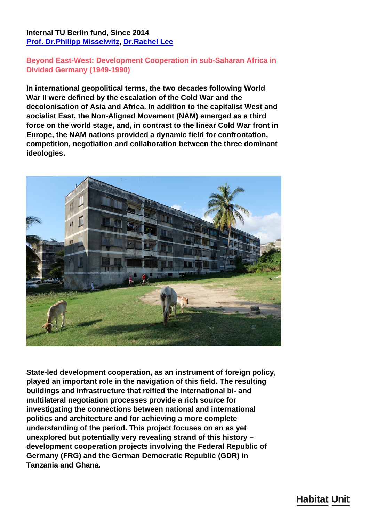## **Internal TU Berlin fund, Since 2014 [Prof. Dr.Philipp Misselwitz,](/en/team/philipp-misselwitz/) [Dr.Rachel Lee](/en/team/rachel-lee/)**

## **Beyond East-West: Development Cooperation in sub-Saharan Africa in Divided Germany (1949-1990)**

**In international geopolitical terms, the two decades following World War II were defined by the escalation of the Cold War and the decolonisation of Asia and Africa. In addition to the capitalist West and socialist East, the Non-Aligned Movement (NAM) emerged as a third force on the world stage, and, in contrast to the linear Cold War front in Europe, the NAM nations provided a dynamic field for confrontation, competition, negotiation and collaboration between the three dominant ideologies.**



**State-led development cooperation, as an instrument of foreign policy, played an important role in the navigation of this field. The resulting buildings and infrastructure that reified the international bi- and multilateral negotiation processes provide a rich source for investigating the connections between national and international politics and architecture and for achieving a more complete understanding of the period. This project focuses on an as yet unexplored but potentially very revealing strand of this history – development cooperation projects involving the Federal Republic of Germany (FRG) and the German Democratic Republic (GDR) in Tanzania and Ghana.**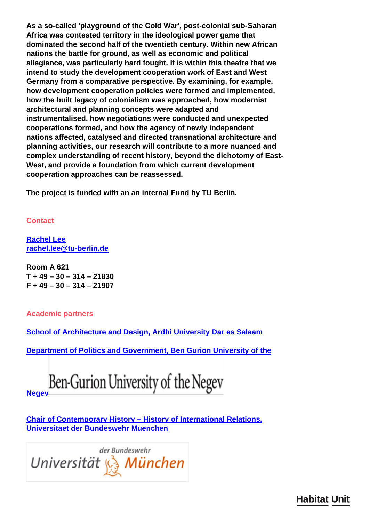**As a so-called 'playground of the Cold War', post-colonial sub-Saharan Africa was contested territory in the ideological power game that dominated the second half of the twentieth century. Within new African nations the battle for ground, as well as economic and political allegiance, was particularly hard fought. It is within this theatre that we intend to study the development cooperation work of East and West Germany from a comparative perspective. By examining, for example, how development cooperation policies were formed and implemented, how the built legacy of colonialism was approached, how modernist architectural and planning concepts were adapted and instrumentalised, how negotiations were conducted and unexpected cooperations formed, and how the agency of newly independent nations affected, catalysed and directed transnational architecture and planning activities, our research will contribute to a more nuanced and complex understanding of recent history, beyond the dichotomy of East-West, and provide a foundation from which current development cooperation approaches can be reassessed.**

**The project is funded with an an internal Fund by TU Berlin.**

**Contact**

**[Rachel Lee](/en/team/rachel-lee/) [rachel.lee@tu-berlin.de](mailto:rachel.lee@tu-berlin.de)**

**Room A 621 T + 49 – 30 – 314 – 21830 F + 49 – 30 – 314 – 21907**

**Academic partners**

**[School of Architecture and Design, Ardhi University Dar es Salaam](http://www.aru.ac.tz/index.php?option=com_content&view=article&id=192)**

**[Department of Politics and Government, Ben Gurion University of the](http://in.bgu.ac.il/en/humsos/politics/Pages/default.aspx)**



**[Chair of Contemporary History – History of International Relations,](https://www.unibw.de/geschichte/neueste) [Universitaet der Bundeswehr Muenchen](https://www.unibw.de/geschichte/neueste)**



**Habitat Unit**